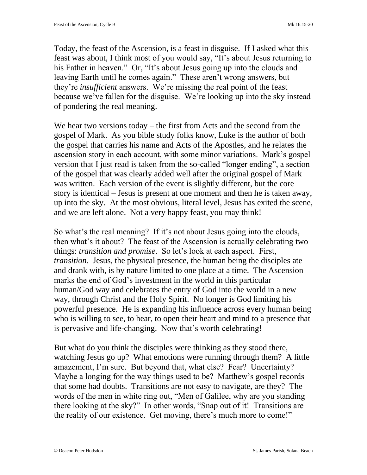Today, the feast of the Ascension, is a feast in disguise. If I asked what this feast was about, I think most of you would say, "It's about Jesus returning to his Father in heaven." Or, "It's about Jesus going up into the clouds and leaving Earth until he comes again." These aren't wrong answers, but they're *insufficient* answers. We're missing the real point of the feast because we've fallen for the disguise. We're looking up into the sky instead of pondering the real meaning.

We hear two versions today – the first from Acts and the second from the gospel of Mark. As you bible study folks know, Luke is the author of both the gospel that carries his name and Acts of the Apostles, and he relates the ascension story in each account, with some minor variations. Mark's gospel version that I just read is taken from the so-called "longer ending", a section of the gospel that was clearly added well after the original gospel of Mark was written. Each version of the event is slightly different, but the core story is identical – Jesus is present at one moment and then he is taken away, up into the sky. At the most obvious, literal level, Jesus has exited the scene, and we are left alone. Not a very happy feast, you may think!

So what's the real meaning? If it's not about Jesus going into the clouds, then what's it about? The feast of the Ascension is actually celebrating two things: *transition and promise*. So let's look at each aspect. First, *transition*. Jesus, the physical presence, the human being the disciples ate and drank with, is by nature limited to one place at a time. The Ascension marks the end of God's investment in the world in this particular human/God way and celebrates the entry of God into the world in a new way, through Christ and the Holy Spirit. No longer is God limiting his powerful presence. He is expanding his influence across every human being who is willing to see, to hear, to open their heart and mind to a presence that is pervasive and life-changing. Now that's worth celebrating!

But what do you think the disciples were thinking as they stood there, watching Jesus go up? What emotions were running through them? A little amazement, I'm sure. But beyond that, what else? Fear? Uncertainty? Maybe a longing for the way things used to be? Matthew's gospel records that some had doubts. Transitions are not easy to navigate, are they? The words of the men in white ring out, "Men of Galilee, why are you standing there looking at the sky?" In other words, "Snap out of it! Transitions are the reality of our existence. Get moving, there's much more to come!"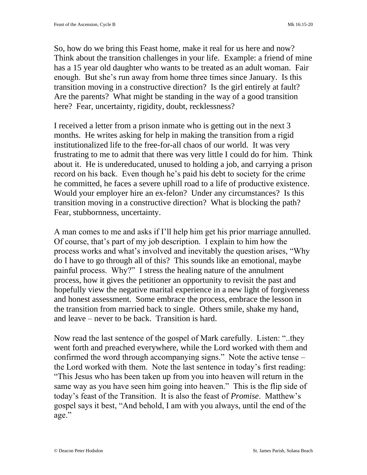So, how do we bring this Feast home, make it real for us here and now? Think about the transition challenges in your life. Example: a friend of mine has a 15 year old daughter who wants to be treated as an adult woman. Fair enough. But she's run away from home three times since January. Is this transition moving in a constructive direction? Is the girl entirely at fault? Are the parents? What might be standing in the way of a good transition here? Fear, uncertainty, rigidity, doubt, recklessness?

I received a letter from a prison inmate who is getting out in the next 3 months. He writes asking for help in making the transition from a rigid institutionalized life to the free-for-all chaos of our world. It was very frustrating to me to admit that there was very little I could do for him. Think about it. He is undereducated, unused to holding a job, and carrying a prison record on his back. Even though he's paid his debt to society for the crime he committed, he faces a severe uphill road to a life of productive existence. Would your employer hire an ex-felon? Under any circumstances? Is this transition moving in a constructive direction? What is blocking the path? Fear, stubbornness, uncertainty.

A man comes to me and asks if I'll help him get his prior marriage annulled. Of course, that's part of my job description. I explain to him how the process works and what's involved and inevitably the question arises, "Why do I have to go through all of this? This sounds like an emotional, maybe painful process. Why?" I stress the healing nature of the annulment process, how it gives the petitioner an opportunity to revisit the past and hopefully view the negative marital experience in a new light of forgiveness and honest assessment. Some embrace the process, embrace the lesson in the transition from married back to single. Others smile, shake my hand, and leave – never to be back. Transition is hard.

Now read the last sentence of the gospel of Mark carefully. Listen: "..they went forth and preached everywhere, while the Lord worked with them and confirmed the word through accompanying signs." Note the active tense – the Lord worked with them. Note the last sentence in today's first reading: "This Jesus who has been taken up from you into heaven will return in the same way as you have seen him going into heaven." This is the flip side of today's feast of the Transition. It is also the feast of *Promise*. Matthew's gospel says it best, "And behold, I am with you always, until the end of the age."